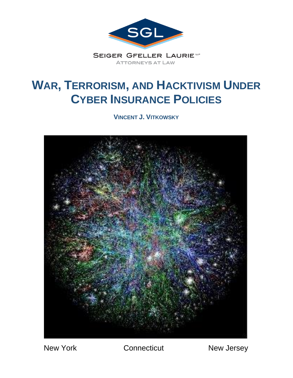

# **WAR, TERRORISM, AND HACKTIVISM UNDER CYBER INSURANCE POLICIES**

**VINCENT J. VITKOWSKY**



New York Connecticut New Jersey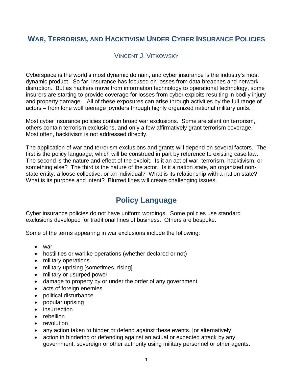### **WAR, TERRORISM, AND HACKTIVISM UNDER CYBER INSURANCE POLICIES**

### VINCENT J. VITKOWSKY

Cyberspace is the world's most dynamic domain, and cyber insurance is the industry's most dynamic product. So far, insurance has focused on losses from data breaches and network disruption. But as hackers move from information technology to operational technology, some insurers are starting to provide coverage for losses from cyber exploits resulting in bodily injury and property damage. All of these exposures can arise through activities by the full range of actors – from lone wolf teenage joyriders through highly organized national military units.

Most cyber insurance policies contain broad war exclusions. Some are silent on terrorism, others contain terrorism exclusions, and only a few affirmatively grant terrorism coverage. Most often, hacktivism is not addressed directly.

The application of war and terrorism exclusions and grants will depend on several factors. The first is the policy language, which will be construed in part by reference to existing case law. The second is the nature and effect of the exploit. Is it an act of war, terrorism, hacktivism, or something else? The third is the nature of the actor. Is it a nation state, an organized nonstate entity, a loose collective, or an individual? What is its relationship with a nation state? What is its purpose and intent? Blurred lines will create challenging issues.

### **Policy Language**

Cyber insurance policies do not have uniform wordings. Some policies use standard exclusions developed for traditional lines of business. Others are bespoke.

Some of the terms appearing in war exclusions include the following:

- war
- hostilities or warlike operations (whether declared or not)
- military operations
- military uprising [sometimes, rising]
- military or usurped power
- damage to property by or under the order of any government
- acts of foreign enemies
- political disturbance
- popular uprising
- insurrection
- rebellion
- revolution
- any action taken to hinder or defend against these events, [or alternatively]
- action in hindering or defending against an actual or expected attack by any government, sovereign or other authority using military personnel or other agents.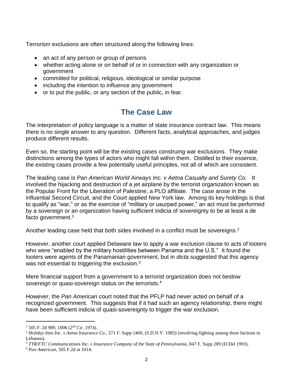Terrorism exclusions are often structured along the following lines:

- an act of any person or group of persons
- whether acting alone or on behalf of or in connection with any organization or government
- committed for political, religious, ideological or similar purpose
- including the intention to influence any government
- or to put the public, or any section of the public, in fear.

## **The Case Law**

The interpretation of policy language is a matter of state insurance contract law. This means there is no single answer to any question. Different facts, analytical approaches, and judges produce different results.

Even so, the starting point will be the existing cases construing war exclusions. They make distinctions among the types of actors who might fall within them. Distilled to their essence, the existing cases provide a few potentially useful principles, not all of which are consistent.

The leading case is *Pan American World Airways Inc. v Aetna Casualty and Surety Co.* It involved the hijacking and destruction of a jet airplane by the terrorist organization known as the Popular Front for the Liberation of Palestine, a PLO affiliate. The case arose in the influential Second Circuit, and the Court applied New York law. Among its key holdings is that to qualify as "war," or as the exercise of "military or usurped power," an act must be performed by a sovereign or an organization having sufficient indicia of sovereignty to be at least a de facto government.<sup>1</sup>

Another leading case held that both sides involved in a conflict must be sovereigns.<sup>2</sup>

However, another court applied Delaware law to apply a war exclusion clause to acts of looters who were "enabled by the military hostilities between Panama and the U.S." It found the looters were agents of the Panamanian government, but in *dicta* suggested that this agency was not essential to triggering the exclusion. $3$ 

Mere financial support from a government to a terrorist organization does not bestow sovereign or quasi-sovereign status on the terrorists.<sup>4</sup>

However, the *Pan American* court noted that the PFLP had never acted on behalf of a recognized government. This suggests that if it had such an agency relationship, there might have been sufficient indicia of quasi-sovereignty to trigger the war exclusion.

 $1\,$  505 F. 2d 989, 1006 (2<sup>nd</sup> Cir. 1974).

<sup>2</sup> *Holiday Inns Inc. v Aetna Insurance Co.,* 571 F. Supp 1460, (S.D.N.Y. 1983) (involving fighting among three factions in Lebanon).

<sup>3</sup> *TTR/FTC Communications Inc. v Insurance Company of the State of Pennsylvania*, 847 F. Supp 289 (D.Del 1993).

<sup>4</sup> *Pan American*, 505 F.2d at 1014.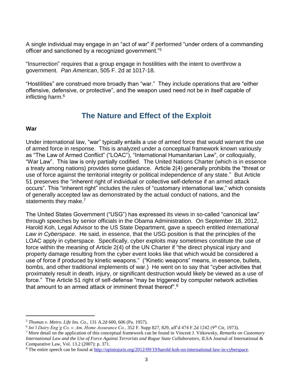A single individual may engage in an "act of war" if performed "under orders of a commanding officer and sanctioned by a recognized government."<sup>5</sup>

"Insurrection" requires that a group engage in hostilities with the intent to overthrow a government. *Pan American*, 505 F. 2d at 1017-18.

"Hostilities" are construed more broadly than "war." They include operations that are "either offensive, defensive, or protective", and the weapon used need not be in itself capable of inflicting harm.<sup>6</sup>

### **The Nature and Effect of the Exploit**

#### **War**

l

Under international law, "war" typically entails a use of armed force that would warrant the use of armed force in response. This is analyzed under a conceptual framework known variously as "The Law of Armed Conflict" ("LOAC"), "International Humanitarian Law", or colloquially, "War Law". This law is only partially codified. The United Nations Charter (which is in essence a treaty among nations) provides some guidance. Article 2(4) generally prohibits the "threat or use of force against the territorial integrity or political independence of any state." But Article 51 preserves the "inherent right of individual or collective self-defense if an armed attack occurs". This "inherent right" includes the rules of "customary international law," which consists of generally accepted law as demonstrated by the actual conduct of nations, and the statements they make.<sup>7</sup>

The United States Government ("USG") has expressed its views in so-called "canonical law" through speeches by senior officials in the Obama Administration. On September 18, 2012, Harold Koh, Legal Advisor to the US State Department, gave a speech entitled *International Law in Cyberspace*. He said, in essence, that the USG position is that the principles of the LOAC apply in cyberspace. Specifically, cyber exploits may sometimes constitute the use of force within the meaning of Article 2(4) of the UN Charter if "the direct physical injury and property damage resulting from the cyber event looks like that which would be considered a use of force if produced by kinetic weapons." ("Kinetic weapons" means, in essence, bullets, bombs, and other traditional implements of war.) He went on to say that "cyber activities that proximately result in death, injury, or significant destruction would likely be viewed as a use of force." The Article 51 right of self-defense "may be triggered by computer network activities that amount to an armed attack or imminent threat thereof".<sup>8</sup>

<sup>5</sup> *Thomas v. Metro. Life Ins. Co.,* 131 A.2d 600, 606 (Pa. 1957).

<sup>&</sup>lt;sup>6</sup> Int'l Dairy Eng'g Co. v. Am. Home Assurance Co., 352 F. Supp 827, 829, aff'd 474 F.2d 1242 (9<sup>th</sup> Cir, 1973).

<sup>7</sup> More detail on the application of this conceptual framework can be found in Vincent J. Vitkowsky, *Remarks on Customary International Law and the Use of Force Against Terrorists and Rogue State Collaborators*, ILSA Journal of International & Comparative Law, Vol. 13.2 (2007): p. 371.

<sup>8</sup> The entire speech can be found a[t http://opiniojuris.org/2012/09/19/harold-koh-on-international-law-in-cyberspace.](http://opiniojuris.org/2012/09/19/harold-koh-on-international-law-in-cyberspace)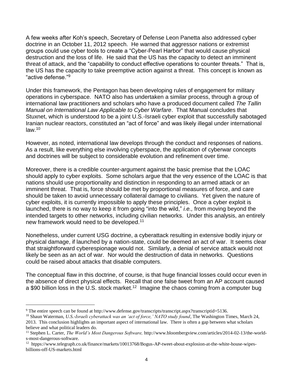A few weeks after Koh's speech, Secretary of Defense Leon Panetta also addressed cyber doctrine in an October 11, 2012 speech. He warned that aggressor nations or extremist groups could use cyber tools to create a "Cyber-Pearl Harbor" that would cause physical destruction and the loss of life. He said that the US has the capacity to detect an imminent threat of attack, and the "capability to conduct effective operations to counter threats." That is, the US has the capacity to take preemptive action against a threat. This concept is known as "active defense."<sup>9</sup>

Under this framework, the Pentagon has been developing rules of engagement for military operations in cyberspace. NATO also has undertaken a similar process, through a group of international law practitioners and scholars who have a produced document called *The Tallin Manual on International Law Applicable to Cyber Warfare*. That Manual concludes that Stuxnet, which is understood to be a joint U.S.-Israeli cyber exploit that successfully sabotaged Iranian nuclear reactors, constituted an "act of force" and was likely illegal under international law.<sup>10</sup>

However, as noted, international law develops through the conduct and responses of nations. As a result, like everything else involving cyberspace, the application of cyberwar concepts and doctrines will be subject to considerable evolution and refinement over time.

Moreover, there is a credible counter-argument against the basic premise that the LOAC should apply to cyber exploits. Some scholars argue that the very essence of the LOAC is that nations should use proportionality and distinction in responding to an armed attack or an imminent threat. That is, force should be met by proportional measures of force, and care should be taken to avoid unnecessary collateral damage to civilians. Yet given the nature of cyber exploits, it is currently impossible to apply these principles. Once a cyber exploit is launched, there is no way to keep it from going "into the wild," *i.e.,* from moving beyond the intended targets to other networks, including civilian networks. Under this analysis, an entirely new framework would need to be developed.<sup>11</sup>

Nonetheless, under current USG doctrine, a cyberattack resulting in extensive bodily injury or physical damage, if launched by a nation-state, could be deemed an act of war. It seems clear that straightforward cyberespionage would not. Similarly, a denial of service attack would not likely be seen as an act of war. Nor would the destruction of data in networks. Questions could be raised about attacks that disable computers.

The conceptual flaw in this doctrine, of course, is that huge financial losses could occur even in the absence of direct physical effects. Recall that one false tweet from an AP account caused a \$90 billion loss in the U.S. stock market.<sup>12</sup> Imagine the chaos coming from a computer bug

<sup>9</sup> The entire speech can be found at http://www.defense.gov/transcripts/transcript.aspx?transcriptid=5136.

<sup>&</sup>lt;sup>10</sup> Shaun Waterman, *U.S.-Israeli cyberattack was an 'act of force,' NATO study found*, The Washington Times, March 24, 2013. This conclusion highlights an important aspect of international law. There is often a gap between what scholars believe and what political leaders do.

<sup>11</sup> Stephen L. Carter, *The World's Most Dangerous Software,* http://www.bloombergview.com/articles/2014-02-13/the-worlds-most-dangerous-software.

<sup>12</sup> htpps://www.telegraph.co.uk/finance/markets/10013768/Bogus-AP-tweet-about-explosion-at-the-white-house-wipesbillions-off-US-markets.html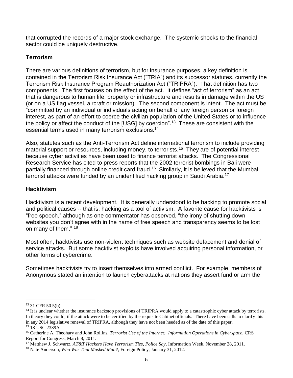that corrupted the records of a major stock exchange. The systemic shocks to the financial sector could be uniquely destructive.

#### **Terrorism**

There are various definitions of terrorism, but for insurance purposes, a key definition is contained in the Terrorism Risk Insurance Act ("TRIA") and its successor statutes, currently the Terrorism Risk Insurance Program Reauthorization Act ("TRIPRA"). That definition has two components. The first focuses on the effect of the act. It defines "act of terrorism" as an act that is dangerous to human life, property or infrastructure and results in damage within the US (or on a US flag vessel, aircraft or mission). The second component is intent. The act must be "committed by an individual or individuals acting on behalf of any foreign person or foreign interest, as part of an effort to coerce the civilian population of the United States or to influence the policy or affect the conduct of the [USG] by coercion".<sup>13</sup> These are consistent with the essential terms used in many terrorism exclusions.<sup>14</sup>

Also, statutes such as the Anti-Terrorism Act define international terrorism to include providing material support or resources, including money, to terrorists.<sup>15</sup> They are of potential interest because cyber activities have been used to finance terrorist attacks. The Congressional Research Service has cited to press reports that the 2002 terrorist bombings in Bali were partially financed through online credit card fraud.<sup>16</sup> Similarly, it is believed that the Mumbai terrorist attacks were funded by an unidentified hacking group in Saudi Arabia.<sup>17</sup>

#### **Hacktivism**

Hacktivism is a recent development. It is generally understood to be hacking to promote social and political causes -- that is, hacking as a tool of activism. A favorite cause for hacktivists is "free speech," although as one commentator has observed, "the irony of shutting down websites you don't agree with in the name of free speech and transparency seems to be lost on many of them." 18

Most often, hacktivists use non-violent techniques such as website defacement and denial of service attacks. But some hacktivist exploits have involved acquiring personal information, or other forms of cybercrime.

Sometimes hacktivists try to insert themselves into armed conflict. For example, members of Anonymous stated an intention to launch cyberattacks at nations they assert fund or arm the

<sup>13</sup> 31 CFR 50.5(b).

<sup>&</sup>lt;sup>14</sup> It is unclear whether the insurance backstop provisions of TRIPRA would apply to a catastrophic cyber attack by terrorists. In theory they could, if the attack were to be certified by the requisite Cabinet officials. There have been calls to clarify this in any 2014 legislative renewal of TRIPRA, although they have not been heeded as of the date of this paper. <sup>15</sup> 18 USC 2339A.

<sup>16</sup> Catherine A. Theohary and John Rollins, *Terrorist Use of the Internet: Information Operations in Cyberspace,* CRS Report for Congress, March 8, 2011.

<sup>17</sup> Matthew J. Schwartz, *AT&T Hackers Have Terrorism Ties, Police Say,* Information Week, November 28, 2011.

<sup>18</sup> Nate Anderson, *Who Was That Masked Man?,* Foreign Policy, January 31, 2012.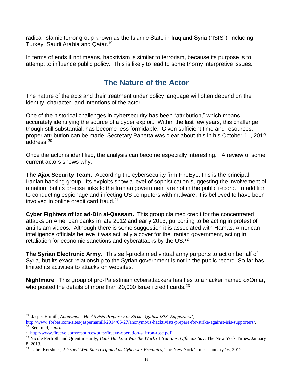radical Islamic terror group known as the Islamic State in Iraq and Syria ("ISIS"), including Turkey, Saudi Arabia and Qatar.<sup>19</sup>

In terms of ends if not means, hacktivism is similar to terrorism, because its purpose is to attempt to influence public policy. This is likely to lead to some thorny interpretive issues.

### **The Nature of the Actor**

The nature of the acts and their treatment under policy language will often depend on the identity, character, and intentions of the actor.

One of the historical challenges in cybersecurity has been "attribution," which means accurately identifying the source of a cyber exploit. Within the last few years, this challenge, though still substantial, has become less formidable. Given sufficient time and resources, proper attribution can be made. Secretary Panetta was clear about this in his October 11, 2012 address.<sup>20</sup>

Once the actor is identified, the analysis can become especially interesting. A review of some current actors shows why.

**The Ajax Security Team.** According the cybersecurity firm FireEye, this is the principal Iranian hacking group. Its exploits show a level of sophistication suggesting the involvement of a nation, but its precise links to the Iranian government are not in the public record. In addition to conducting espionage and infecting US computers with malware, it is believed to have been involved in online credit card fraud.<sup>21</sup>

**Cyber Fighters of Izz ad-Din al-Qassam.** This group claimed credit for the concentrated attacks on American banks in late 2012 and early 2013, purporting to be acting in protest of anti-Islam videos. Although there is some suggestion it is associated with Hamas, American intelligence officials believe it was actually a cover for the Iranian government, acting in retaliation for economic sanctions and cyberattacks by the US.<sup>22</sup>

**The Syrian Electronic Army.** This self-proclaimed virtual army purports to act on behalf of Syria, but its exact relationship to the Syrian government is not in the public record. So far has limited its activities to attacks on websites.

**Nightmare**. This group of pro-Palestinian cyberattackers has ties to a hacker named oxOmar, who posted the details of more than 20,000 Israeli credit cards. $^{23}$ 

<sup>19</sup> Jasper Hamill, *Anonymous Hacktivists Prepare For Strike Against ISIS 'Supporters',*

[http://www.forbes.com/sites/jasperhamill/2014/06/27/anonymous-hacktivists-prepare-for-strike-against-isis-supporters/.](http://www.forbes.com/sites/jasperhamill/2014/06/27/anonymous-hactivists-prepare-for-strike-against-isis-supporters/) 20 See fn. 9, *supra*.

<sup>&</sup>lt;sup>21</sup> [http://www.fireeye.com/resources/pdfs/fireeye-operation-saffron-rose.pdf.](http://www.fireeye.com/resources/pdfs/fireeye-operation-saffron-rose.pdf)

<sup>22</sup> Nicole Perlroth and Quentin Hardy, *Bank Hacking Was the Work* of *Iranians, Officials Say*, The New York Times, January 8, 2013.

<sup>23</sup> Isabel Kershner, *2 Israeli Web Sites Crippled as Cyberwar Escalates,* The New York Times, January 16, 2012.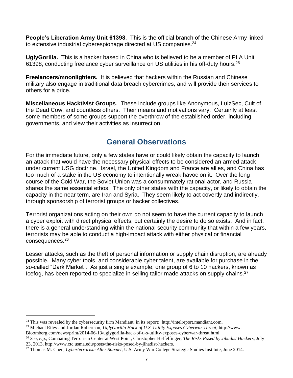**People's Liberation Army Unit 61398**. This is the official branch of the Chinese Army linked to extensive industrial cyberespionage directed at US companies.<sup>24</sup>

**UglyGorilla.** This is a hacker based in China who is believed to be a member of PLA Unit 61398, conducting freelance cyber surveillance on US utilities in his off-duty hours.<sup>25</sup>

**Freelancers/moonlighters.** It is believed that hackers within the Russian and Chinese military also engage in traditional data breach cybercrimes, and will provide their services to others for a price.

**Miscellaneous Hacktivist Groups**. These include groups like Anonymous, LulzSec, Cult of the Dead Cow, and countless others. Their means and motivations vary. Certainly at least some members of some groups support the overthrow of the established order, including governments, and view their activities as insurrection.

### **General Observations**

For the immediate future, only a few states have or could likely obtain the capacity to launch an attack that would have the necessary physical effects to be considered an armed attack under current USG doctrine. Israel, the United Kingdom and France are allies, and China has too much of a stake in the US economy to intentionally wreak havoc on it. Over the long course of the Cold War, the Soviet Union was a consummately rational actor, and Russia shares the same essential ethos. The only other states with the capacity, or likely to obtain the capacity in the near term, are Iran and Syria. They seem likely to act covertly and indirectly, through sponsorship of terrorist groups or hacker collectives.

Terrorist organizations acting on their own do not seem to have the current capacity to launch a cyber exploit with direct physical effects, but certainly the desire to do so exists. And in fact, there is a general understanding within the national security community that within a few years, terrorists may be able to conduct a high-impact attack with either physical or financial consequences.<sup>26</sup>

Lesser attacks, such as the theft of personal information or supply chain disruption, are already possible. Many cyber tools, and considerable cyber talent, are available for purchase in the so-called "Dark Market". As just a single example, one group of 6 to 10 hackers, known as Icefog, has been reported to specialize in selling tailor made attacks on supply chains.<sup>27</sup>

<sup>&</sup>lt;sup>24</sup> This was revealed by the cybersecurity firm Mandiant, in its report: http://intelreport.mandiant.com.

<sup>25</sup> Michael Riley and Jordan Robertson, *UglyGorilla Hack of U.S. Utility Exposes Cyberwar Threat,* http://www.

Bloomberg.com/news/print/2014-06-13/uglygorilla-hack-of-u-s-utility-exposes-cyberwar-threat.html

<sup>26</sup> *See, e.g.,* Combating Terrorism Center at West Point, Christopher Heffelfinger, *The Risks Posed by Jihadist Hackers,* July 23, 2013, http://www.ctc.usma.edu/posts/the-risks-posed-by-jihadist-hackers.

<sup>27</sup> Thomas M. Chen, *Cyberterrorism After Stuxnet,* U.S. Army War College Strategic Studies Institute, June 2014.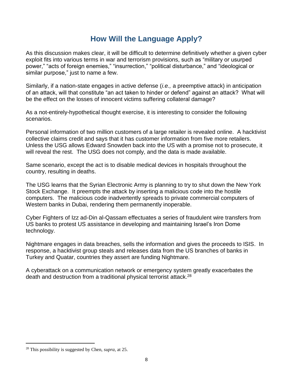### **How Will the Language Apply?**

As this discussion makes clear, it will be difficult to determine definitively whether a given cyber exploit fits into various terms in war and terrorism provisions, such as "military or usurped power," "acts of foreign enemies," "insurrection," "political disturbance," and "ideological or similar purpose," just to name a few.

Similarly, if a nation-state engages in active defense (*i.e.,* a preemptive attack) in anticipation of an attack, will that constitute "an act taken to hinder or defend" against an attack? What will be the effect on the losses of innocent victims suffering collateral damage?

As a not-entirely-hypothetical thought exercise, it is interesting to consider the following scenarios.

Personal information of two million customers of a large retailer is revealed online. A hacktivist collective claims credit and says that it has customer information from five more retailers. Unless the USG allows Edward Snowden back into the US with a promise not to prosecute, it will reveal the rest. The USG does not comply, and the data is made available.

Same scenario, except the act is to disable medical devices in hospitals throughout the country, resulting in deaths.

The USG learns that the Syrian Electronic Army is planning to try to shut down the New York Stock Exchange. It preempts the attack by inserting a malicious code into the hostile computers. The malicious code inadvertently spreads to private commercial computers of Western banks in Dubai, rendering them permanently inoperable.

Cyber Fighters of Izz ad-Din al-Qassam effectuates a series of fraudulent wire transfers from US banks to protest US assistance in developing and maintaining Israel's Iron Dome technology.

Nightmare engages in data breaches, sells the information and gives the proceeds to ISIS. In response, a hacktivist group steals and releases data from the US branches of banks in Turkey and Quatar, countries they assert are funding Nightmare.

A cyberattack on a communication network or emergency system greatly exacerbates the death and destruction from a traditional physical terrorist attack.<sup>28</sup>

<sup>28</sup> This possibility is suggested by Chen, *supra,* at 25.